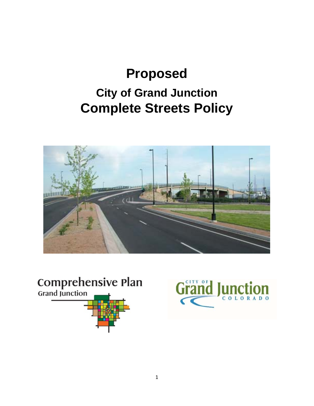# **Proposed City of Grand Junction Complete Streets Policy**





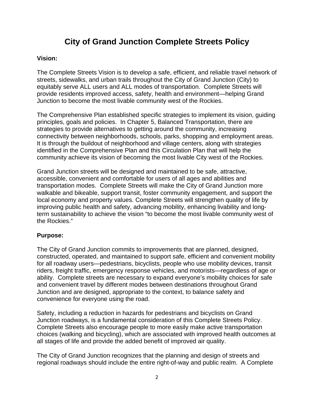# **City of Grand Junction Complete Streets Policy**

# **Vision:**

The Complete Streets Vision is to develop a safe, efficient, and reliable travel network of streets, sidewalks, and urban trails throughout the City of Grand Junction (City) to equitably serve ALL users and ALL modes of transportation. Complete Streets will provide residents improved access, safety, health and environment—helping Grand Junction to become the most livable community west of the Rockies.

The Comprehensive Plan established specific strategies to implement its vision, guiding principles, goals and policies. In Chapter 5, Balanced Transportation, there are strategies to provide alternatives to getting around the community, increasing connectivity between neighborhoods, schools, parks, shopping and employment areas. It is through the buildout of neighborhood and village centers, along with strategies identified in the Comprehensive Plan and this Circulation Plan that will help the community achieve its vision of becoming the most livable City west of the Rockies.

Grand Junction streets will be designed and maintained to be safe, attractive, accessible, convenient and comfortable for users of all ages and abilities and transportation modes. Complete Streets will make the City of Grand Junction more walkable and bikeable, support transit, foster community engagement, and support the local economy and property values. Complete Streets will strengthen quality of life by improving public health and safety, advancing mobility, enhancing livability and longterm sustainability to achieve the vision "to become the most livable community west of the Rockies."

### **Purpose:**

The City of Grand Junction commits to improvements that are planned, designed, constructed, operated, and maintained to support safe, efficient and convenient mobility for all roadway users—pedestrians, bicyclists, people who use mobility devices, transit riders, freight traffic, emergency response vehicles, and motorists—regardless of age or ability. Complete streets are necessary to expand everyone's mobility choices for safe and convenient travel by different modes between destinations throughout Grand Junction and are designed, appropriate to the context, to balance safety and convenience for everyone using the road.

Safety, including a reduction in hazards for pedestrians and bicyclists on Grand Junction roadways, is a fundamental consideration of this Complete Streets Policy. Complete Streets also encourage people to more easily make active transportation choices (walking and bicycling), which are associated with improved health outcomes at all stages of life and provide the added benefit of improved air quality.

The City of Grand Junction recognizes that the planning and design of streets and regional roadways should include the entire right-of-way and public realm. A Complete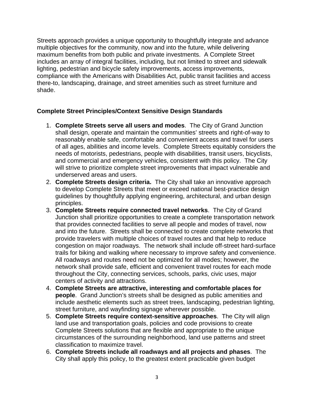Streets approach provides a unique opportunity to thoughtfully integrate and advance multiple objectives for the community, now and into the future, while delivering maximum benefits from both public and private investments. A Complete Street includes an array of integral facilities, including, but not limited to street and sidewalk lighting, pedestrian and bicycle safety improvements, access improvements, compliance with the Americans with Disabilities Act, public transit facilities and access there-to, landscaping, drainage, and street amenities such as street furniture and shade.

## **Complete Street Principles/Context Sensitive Design Standards**

- 1. **Complete Streets serve all users and modes**. The City of Grand Junction shall design, operate and maintain the communities' streets and right-of-way to reasonably enable safe, comfortable and convenient access and travel for users of all ages, abilities and income levels. Complete Streets equitably considers the needs of motorists, pedestrians, people with disabilities, transit users, bicyclists, and commercial and emergency vehicles, consistent with this policy. The City will strive to prioritize complete street improvements that impact vulnerable and underserved areas and users.
- 2. **Complete Streets design criteria.** The City shall take an innovative approach to develop Complete Streets that meet or exceed national best-practice design guidelines by thoughtfully applying engineering, architectural, and urban design principles.
- 3. **Complete Streets require connected travel networks**. The City of Grand Junction shall prioritize opportunities to create a complete transportation network that provides connected facilities to serve all people and modes of travel, now and into the future. Streets shall be connected to create complete networks that provide travelers with multiple choices of travel routes and that help to reduce congestion on major roadways. The network shall include off-street hard-surface trails for biking and walking where necessary to improve safety and convenience. All roadways and routes need not be optimized for all modes; however, the network shall provide safe, efficient and convenient travel routes for each mode throughout the City, connecting services, schools, parks, civic uses, major centers of activity and attractions.
- 4. **Complete Streets are attractive, interesting and comfortable places for people**. Grand Junction's streets shall be designed as public amenities and include aesthetic elements such as street trees, landscaping, pedestrian lighting, street furniture, and wayfinding signage wherever possible.
- 5. **Complete Streets require context-sensitive approaches**. The City will align land use and transportation goals, policies and code provisions to create Complete Streets solutions that are flexible and appropriate to the unique circumstances of the surrounding neighborhood, land use patterns and street classification to maximize travel.
- 6. **Complete Streets include all roadways and all projects and phases**. The City shall apply this policy, to the greatest extent practicable given budget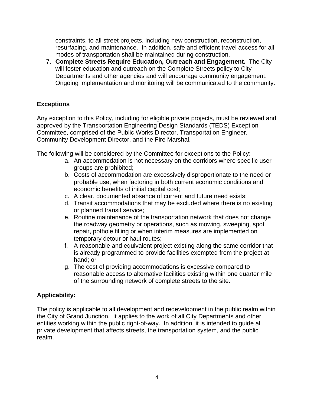constraints, to all street projects, including new construction, reconstruction, resurfacing, and maintenance. In addition, safe and efficient travel access for all modes of transportation shall be maintained during construction.

7. **Complete Streets Require Education, Outreach and Engagement.** The City will foster education and outreach on the Complete Streets policy to City Departments and other agencies and will encourage community engagement. Ongoing implementation and monitoring will be communicated to the community.

# **Exceptions**

Any exception to this Policy, including for eligible private projects, must be reviewed and approved by the Transportation Engineering Design Standards (TEDS) Exception Committee, comprised of the Public Works Director, Transportation Engineer, Community Development Director, and the Fire Marshal.

The following will be considered by the Committee for exceptions to the Policy:

- a. An accommodation is not necessary on the corridors where specific user groups are prohibited;
- b. Costs of accommodation are excessively disproportionate to the need or probable use, when factoring in both current economic conditions and economic benefits of initial capital cost;
- c. A clear, documented absence of current and future need exists;
- d. Transit accommodations that may be excluded where there is no existing or planned transit service;
- e. Routine maintenance of the transportation network that does not change the roadway geometry or operations, such as mowing, sweeping, spot repair, pothole filling or when interim measures are implemented on temporary detour or haul routes;
- f. A reasonable and equivalent project existing along the same corridor that is already programmed to provide facilities exempted from the project at hand; or
- g. The cost of providing accommodations is excessive compared to reasonable access to alternative facilities existing within one quarter mile of the surrounding network of complete streets to the site.

# **Applicability:**

The policy is applicable to all development and redevelopment in the public realm within the City of Grand Junction. It applies to the work of all City Departments and other entities working within the public right-of-way. In addition, it is intended to guide all private development that affects streets, the transportation system, and the public realm.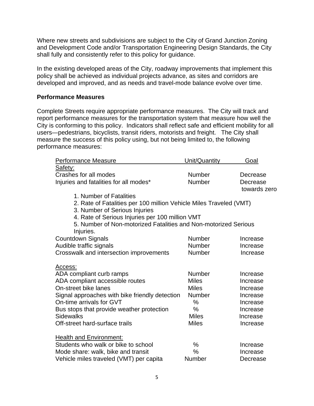Where new streets and subdivisions are subject to the City of Grand Junction Zoning and Development Code and/or Transportation Engineering Design Standards, the City shall fully and consistently refer to this policy for guidance.

In the existing developed areas of the City, roadway improvements that implement this policy shall be achieved as individual projects advance, as sites and corridors are developed and improved, and as needs and travel-mode balance evolve over time.

#### **Performance Measures**

Complete Streets require appropriate performance measures. The City will track and report performance measures for the transportation system that measure how well the City is conforming to this policy. Indicators shall reflect safe and efficient mobility for all users—pedestrians, bicyclists, transit riders, motorists and freight. The City shall measure the success of this policy using, but not being limited to, the following performance measures:

| <b>Performance Measure</b>                                         | Unit/Quantity | Goal         |
|--------------------------------------------------------------------|---------------|--------------|
| Safety:                                                            |               |              |
| Crashes for all modes                                              | <b>Number</b> | Decrease     |
| Injuries and fatalities for all modes*                             | <b>Number</b> | Decrease     |
|                                                                    |               | towards zero |
| 1. Number of Fatalities                                            |               |              |
| 2. Rate of Fatalities per 100 million Vehicle Miles Traveled (VMT) |               |              |
| 3. Number of Serious Injuries                                      |               |              |
| 4. Rate of Serious Injuries per 100 million VMT                    |               |              |
| 5. Number of Non-motorized Fatalities and Non-motorized Serious    |               |              |
| Injuries.                                                          |               |              |
| <b>Countdown Signals</b>                                           | <b>Number</b> | Increase     |
| Audible traffic signals                                            | <b>Number</b> | Increase     |
| Crosswalk and intersection improvements                            | Number        | Increase     |
|                                                                    |               |              |
| Access:                                                            |               |              |
| ADA compliant curb ramps                                           | <b>Number</b> | Increase     |
| ADA compliant accessible routes                                    | <b>Miles</b>  | Increase     |
| On-street bike lanes                                               | <b>Miles</b>  | Increase     |
| Signal approaches with bike friendly detection                     | Number        | Increase     |
| On-time arrivals for GVT                                           | $\%$          | Increase     |
| Bus stops that provide weather protection                          | %             | Increase     |
| <b>Sidewalks</b>                                                   | <b>Miles</b>  | Increase     |
| Off-street hard-surface trails                                     | <b>Miles</b>  | Increase     |
|                                                                    |               |              |
| <b>Health and Environment:</b>                                     |               |              |
| Students who walk or bike to school                                | $\%$          | Increase     |
| Mode share: walk, bike and transit                                 | $\%$          | Increase     |
| Vehicle miles traveled (VMT) per capita                            | Number        | Decrease     |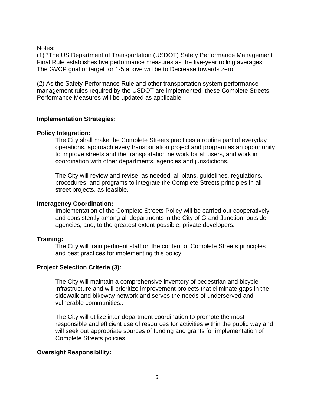Notes:

(1) \*The US Department of Transportation (USDOT) Safety Performance Management Final Rule establishes five performance measures as the five-year rolling averages. The GVCP goal or target for 1-5 above will be to Decrease towards zero.

(2) As the Safety Performance Rule and other transportation system performance management rules required by the USDOT are implemented, these Complete Streets Performance Measures will be updated as applicable.

#### **Implementation Strategies:**

#### **Policy Integration:**

The City shall make the Complete Streets practices a routine part of everyday operations, approach every transportation project and program as an opportunity to improve streets and the transportation network for all users, and work in coordination with other departments, agencies and jurisdictions.

The City will review and revise, as needed, all plans, guidelines, regulations, procedures, and programs to integrate the Complete Streets principles in all street projects, as feasible.

#### **Interagency Coordination:**

Implementation of the Complete Streets Policy will be carried out cooperatively and consistently among all departments in the City of Grand Junction, outside agencies, and, to the greatest extent possible, private developers.

#### **Training:**

The City will train pertinent staff on the content of Complete Streets principles and best practices for implementing this policy.

#### **Project Selection Criteria (3):**

The City will maintain a comprehensive inventory of pedestrian and bicycle infrastructure and will prioritize improvement projects that eliminate gaps in the sidewalk and bikeway network and serves the needs of underserved and vulnerable communities..

The City will utilize inter-department coordination to promote the most responsible and efficient use of resources for activities within the public way and will seek out appropriate sources of funding and grants for implementation of Complete Streets policies.

#### **Oversight Responsibility:**